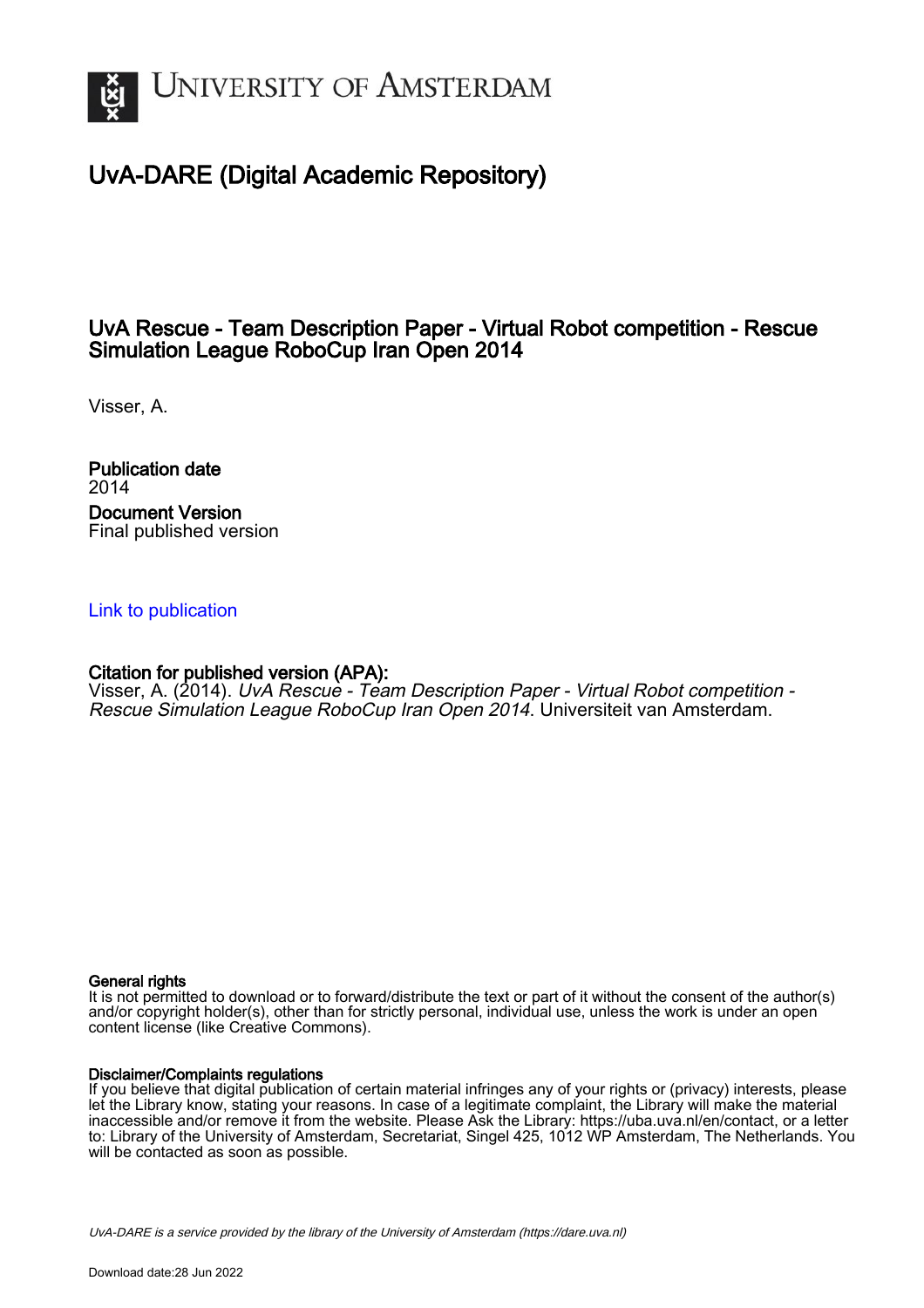

# UvA-DARE (Digital Academic Repository)

## UvA Rescue - Team Description Paper - Virtual Robot competition - Rescue Simulation League RoboCup Iran Open 2014

Visser, A.

Publication date 2014 Document Version Final published version

## [Link to publication](https://dare.uva.nl/personal/pure/en/publications/uva-rescue--team-description-paper--virtual-robot-competition--rescue-simulation-league-robocup-iran-open-2014(d1f6f4d1-a7cc-416f-be4e-c53563aaec25).html)

## Citation for published version (APA):

Visser, A. (2014). UvA Rescue - Team Description Paper - Virtual Robot competition -Rescue Simulation League RoboCup Iran Open 2014. Universiteit van Amsterdam.

## General rights

It is not permitted to download or to forward/distribute the text or part of it without the consent of the author(s) and/or copyright holder(s), other than for strictly personal, individual use, unless the work is under an open content license (like Creative Commons).

## Disclaimer/Complaints regulations

If you believe that digital publication of certain material infringes any of your rights or (privacy) interests, please let the Library know, stating your reasons. In case of a legitimate complaint, the Library will make the material inaccessible and/or remove it from the website. Please Ask the Library: https://uba.uva.nl/en/contact, or a letter to: Library of the University of Amsterdam, Secretariat, Singel 425, 1012 WP Amsterdam, The Netherlands. You will be contacted as soon as possible.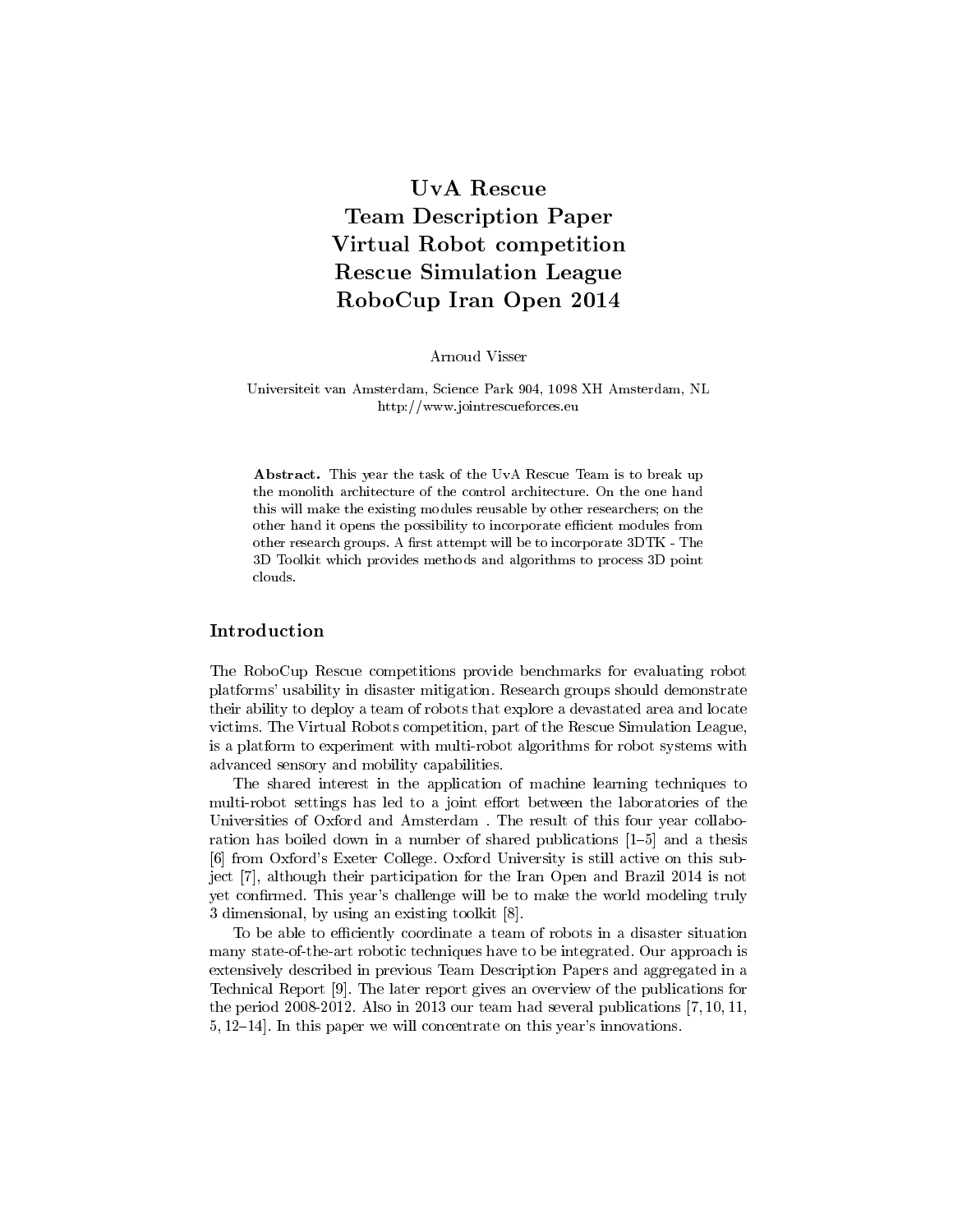## UvA Rescue Team Description Paper Virtual Robot competition Rescue Simulation League RoboCup Iran Open 2014

Arnoud Visser

#### Universiteit van Amsterdam, Science Park 904, 1098 XH Amsterdam, NL http://www.jointrescueforces.eu

Abstract. This year the task of the UvA Rescue Team is to break up the monolith architecture of the control architecture. On the one hand this will make the existing modules reusable by other researchers; on the other hand it opens the possibility to incorporate efficient modules from other research groups. A first attempt will be to incorporate 3DTK - The 3D Toolkit which provides methods and algorithms to process 3D point clouds.

### Introduction

The RoboCup Rescue competitions provide benchmarks for evaluating robot platforms' usability in disaster mitigation. Research groups should demonstrate their ability to deploy a team of robots that explore a devastated area and locate victims. The Virtual Robots competition, part of the Rescue Simulation League, is a platform to experiment with multi-robot algorithms for robot systems with advanced sensory and mobility capabilities.

The shared interest in the application of machine learning techniques to multi-robot settings has led to a joint effort between the laboratories of the Universities of Oxford and Amsterdam . The result of this four year collaboration has boiled down in a number of shared publications  $[1–5]$  and a thesis [6] from Oxford's Exeter College. Oxford University is still active on this subject [7], although their participation for the Iran Open and Brazil 2014 is not yet confirmed. This year's challenge will be to make the world modeling truly 3 dimensional, by using an existing toolkit [8].

To be able to efficiently coordinate a team of robots in a disaster situation many state-of-the-art robotic techniques have to be integrated. Our approach is extensively described in previous Team Description Papers and aggregated in a Technical Report [9]. The later report gives an overview of the publications for the period 2008-2012. Also in 2013 our team had several publications [7, 10, 11,  $5, 12–14$ . In this paper we will concentrate on this year's innovations.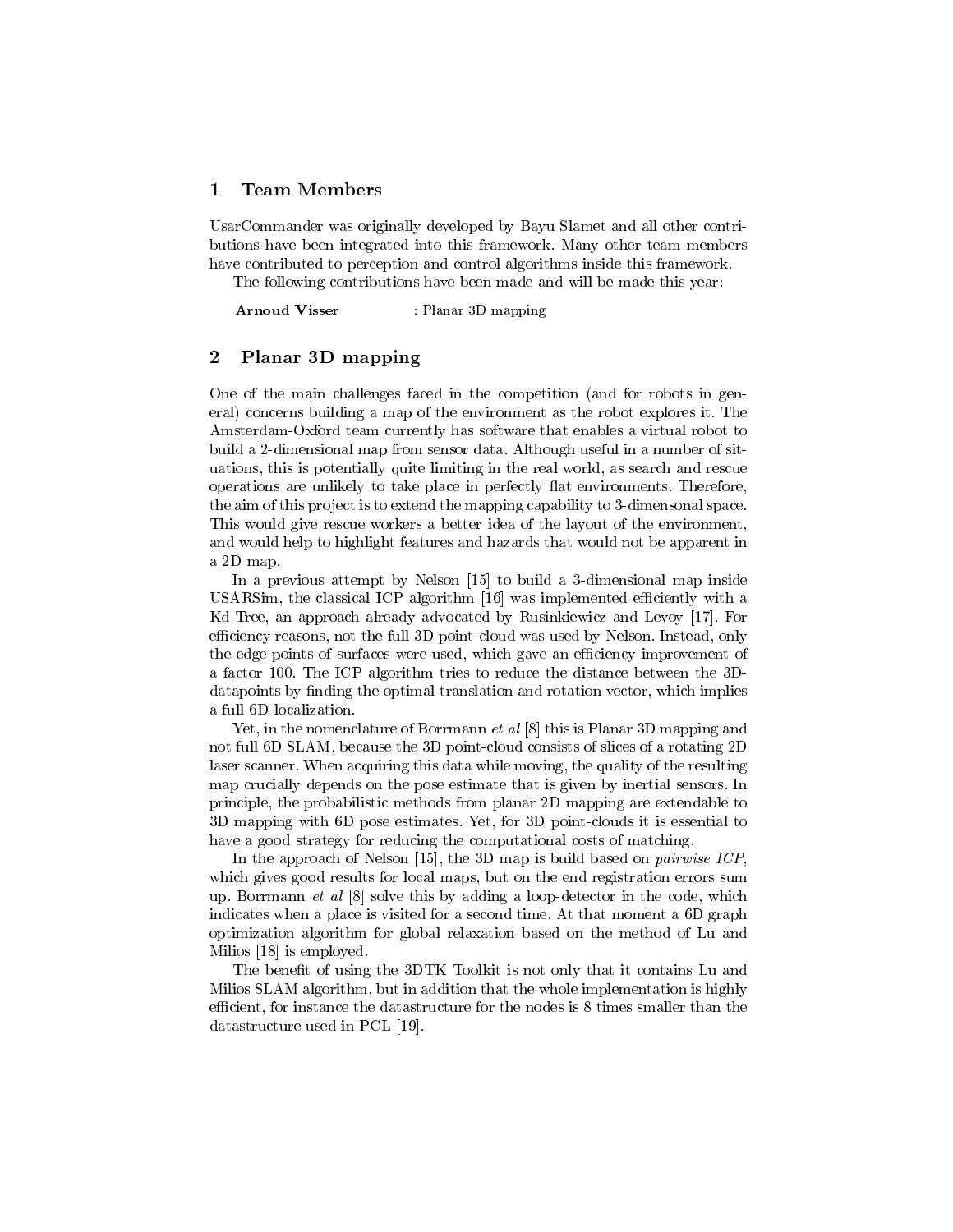## 1 Team Members

UsarCommander was originally developed by Bayu Slamet and all other contributions have been integrated into this framework. Many other team members have contributed to perception and control algorithms inside this framework.

The following contributions have been made and will be made this year:

Arnoud Visser : Planar 3D mapping

### 2 Planar 3D mapping

One of the main challenges faced in the competition (and for robots in general) concerns building a map of the environment as the robot explores it. The Amsterdam-Oxford team currently has software that enables a virtual robot to build a 2-dimensional map from sensor data. Although useful in a number of situations, this is potentially quite limiting in the real world, as search and rescue operations are unlikely to take place in perfectly flat environments. Therefore, the aim of this project is to extend the mapping capability to 3-dimensonal space. This would give rescue workers a better idea of the layout of the environment, and would help to highlight features and hazards that would not be apparent in a 2D map.

In a previous attempt by Nelson [15] to build a 3-dimensional map inside USARSim, the classical ICP algorithm [16] was implemented efficiently with a Kd-Tree, an approach already advocated by Rusinkiewicz and Levoy [17]. For efficiency reasons, not the full 3D point-cloud was used by Nelson. Instead, only the edge-points of surfaces were used, which gave an efficiency improvement of a factor 100. The ICP algorithm tries to reduce the distance between the 3Ddatapoints by finding the optimal translation and rotation vector, which implies a full 6D localization.

Yet, in the nomenclature of Borrmann *et al* [8] this is Planar 3D mapping and not full 6D SLAM, because the 3D point-cloud consists of slices of a rotating 2D laser scanner. When acquiring this data while moving, the quality of the resulting map crucially depends on the pose estimate that is given by inertial sensors. In principle, the probabilistic methods from planar 2D mapping are extendable to 3D mapping with 6D pose estimates. Yet, for 3D point-clouds it is essential to have a good strategy for reducing the computational costs of matching.

In the approach of Nelson [15], the 3D map is build based on *pairwise ICP*. which gives good results for local maps, but on the end registration errors sum up. Borrmann et al [8] solve this by adding a loop-detector in the code, which indicates when a place is visited for a second time. At that moment a 6D graph optimization algorithm for global relaxation based on the method of Lu and Milios [18] is employed.

The benefit of using the 3DTK Toolkit is not only that it contains Lu and Milios SLAM algorithm, but in addition that the whole implementation is highly efficient, for instance the datastructure for the nodes is 8 times smaller than the datastructure used in PCL [19].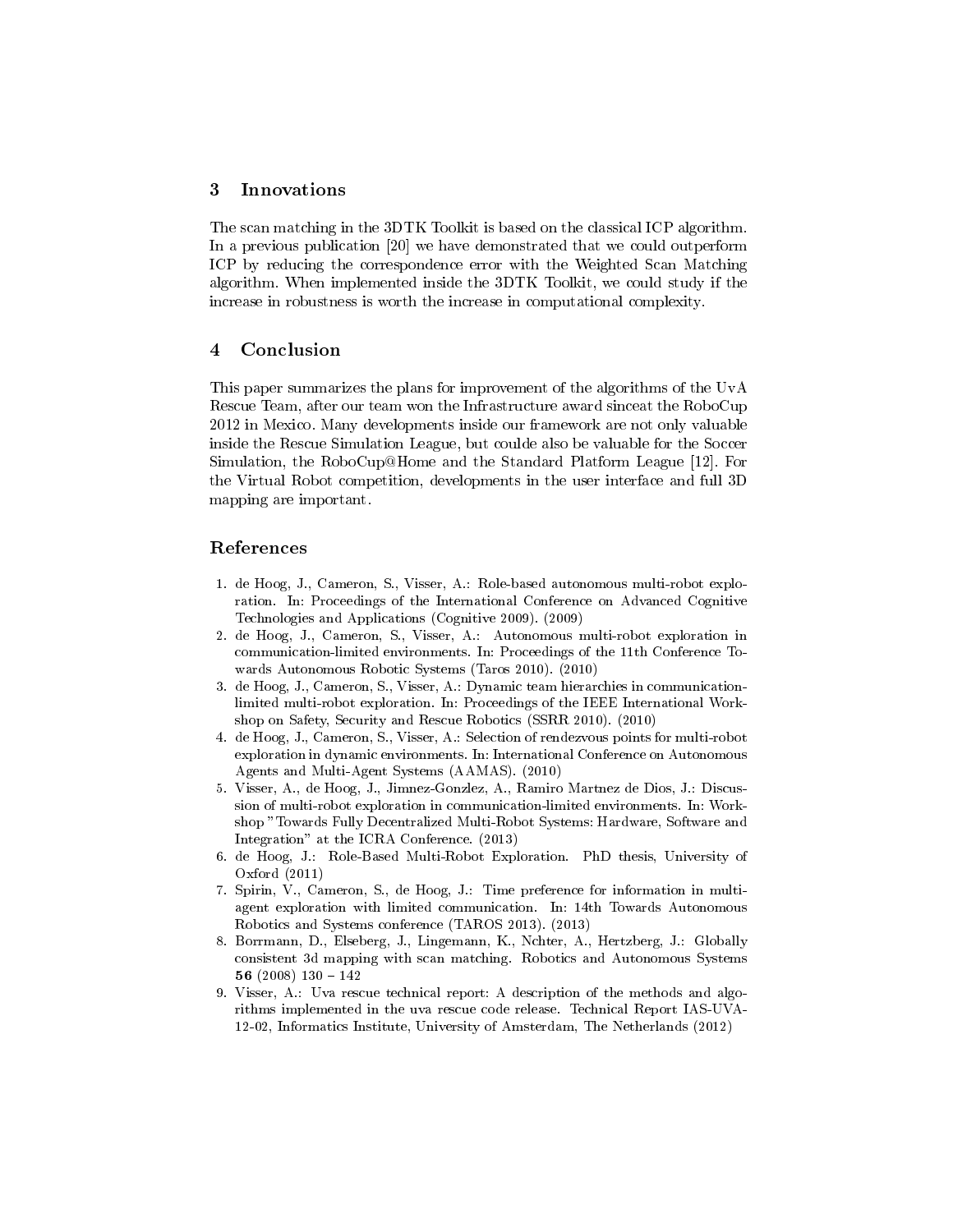## 3 Innovations

The scan matching in the 3DTK Toolkit is based on the classical ICP algorithm. In a previous publication [20] we have demonstrated that we could outperform ICP by reducing the correspondence error with the Weighted Scan Matching algorithm. When implemented inside the 3DTK Toolkit, we could study if the increase in robustness is worth the increase in computational complexity.

## 4 Conclusion

This paper summarizes the plans for improvement of the algorithms of the UvA Rescue Team, after our team won the Infrastructure award sinceat the RoboCup 2012 in Mexico. Many developments inside our framework are not only valuable inside the Rescue Simulation League, but coulde also be valuable for the Soccer Simulation, the RoboCup@Home and the Standard Platform League [12]. For the Virtual Robot competition, developments in the user interface and full 3D mapping are important.

## References

- 1. de Hoog, J., Cameron, S., Visser, A.: Role-based autonomous multi-robot exploration. In: Proceedings of the International Conference on Advanced Cognitive Technologies and Applications (Cognitive 2009). (2009)
- 2. de Hoog, J., Cameron, S., Visser, A.: Autonomous multi-robot exploration in communication-limited environments. In: Proceedings of the 11th Conference Towards Autonomous Robotic Systems (Taros 2010). (2010)
- 3. de Hoog, J., Cameron, S., Visser, A.: Dynamic team hierarchies in communicationlimited multi-robot exploration. In: Proceedings of the IEEE International Workshop on Safety, Security and Rescue Robotics (SSRR 2010). (2010)
- 4. de Hoog, J., Cameron, S., Visser, A.: Selection of rendezvous points for multi-robot exploration in dynamic environments. In: International Conference on Autonomous Agents and Multi-Agent Systems (AAMAS). (2010)
- 5. Visser, A., de Hoog, J., Jimnez-Gonzlez, A., Ramiro Martnez de Dios, J.: Discussion of multi-robot exploration in communication-limited environments. In: Workshop "Towards Fully Decentralized Multi-Robot Systems: Hardware, Software and Integration" at the ICRA Conference. (2013)
- 6. de Hoog, J.: Role-Based Multi-Robot Exploration. PhD thesis, University of Oxford (2011)
- 7. Spirin, V., Cameron, S., de Hoog, J.: Time preference for information in multiagent exploration with limited communication. In: 14th Towards Autonomous Robotics and Systems conference (TAROS 2013). (2013)
- 8. Borrmann, D., Elseberg, J., Lingemann, K., Nchter, A., Hertzberg, J.: Globally consistent 3d mapping with scan matching. Robotics and Autonomous Systems 56 (2008)  $130 - 142$
- 9. Visser, A.: Uva rescue technical report: A description of the methods and algorithms implemented in the uva rescue code release. Technical Report IAS-UVA-12-02, Informatics Institute, University of Amsterdam, The Netherlands (2012)